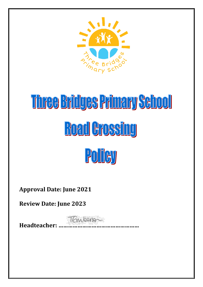

# Three Bridges Primary School **Road Crossing**



**Approval Date: June 2021**

**Review Date: June 2023**

**Headteacher: ……………………………………………**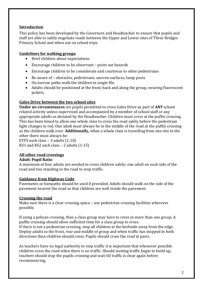# **Introduction**

This policy has been developed by the Governors and Headteacher to ensure that pupils and staff are able to safely negotiate roads between the Upper and Lower sites of Three Bridges Primary School and when out on school trips.

# **Guidelines for walking groups**

- Brief children about expectations
- Encourage children to be observant point out hazards
- Encourage children to be considerate and courteous to other pedestrians
- Be aware of obstacles, pedestrians, uneven surfaces, lamp posts
- On narrow paths walk the children in single file.
- Adults should be positioned at the front, back and along the group, wearing fluorescent jackets.

### **Gales Drive between the two school sites**

**Under no circumstances** are pupils permitted to cross Gales Drive as part of **ANY** school related activity unless supervised and accompanied by a member of school staff or any appropriate adults as dictated by the Headteacher. Children must cross at the puffin crossing. This has been timed to allow one whole class to cross the road safely before the pedestrian light changes to red. One adult must always be in the middle of the road at the puffin crossing as the children walk over. **Additionally,** when a whole class is travelling from one site to the other there must always be:

EYFS each class – 3 adults (1:10) KS1 and KS2 each class – 2 adults (1:15)

### **All other road crossings**

#### **Adult: Pupil Ratio**

A minimum of four adults are needed to cross children safely; one adult on each side of the road and two standing in the road to stop traffic.

### **Guidance from Highway Code**

Pavements or footpaths should be used if provided. Adults should walk on the side of the pavement nearest the road so that children are well inside the pavement.

### **Crossing the road**

Make sure there is a clear crossing space – use pedestrian crossing facilities wherever possible.

If using a pelican crossing, then a class group may have to cross in more than one group. A puffin crossing should allow sufficient time for a class group to cross. If there is not a pedestrian crossing, stop all children at the kerbside away from the edge. Deploy adults to the front, rear and middle of group and when traffic has stopped in both

directions then children should cross. Pupils should cross the road in pairs.

As teachers have no legal authority to stop traffic it is important that whenever possible children cross the road when there is no traffic. Should waiting traffic begin to build up, teachers should stop the pupils crossing and wait till traffic is clear again before recommencing.